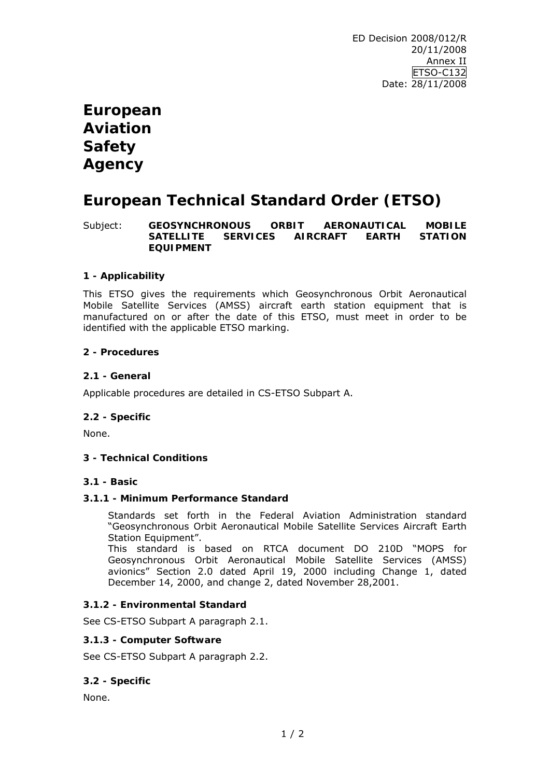# **European Aviation Safety Agency**

# **European Technical Standard Order (ETSO)**

Subject: **GEOSYNCHRONOUS ORBIT AERONAUTICAL MOBILE SATELLITE SERVICES AIRCRAFT EARTH STATION EQUIPMENT**

## **1 - Applicability**

This ETSO gives the requirements which Geosynchronous Orbit Aeronautical Mobile Satellite Services (AMSS) aircraft earth station equipment that is manufactured on or after the date of this ETSO, must meet in order to be identified with the applicable ETSO marking.

## **2 - Procedures**

#### **2.1 - General**

Applicable procedures are detailed in CS-ETSO Subpart A.

## **2.2 - Specific**

None.

## **3 - Technical Conditions**

#### **3.1 - Basic**

#### **3.1.1 - Minimum Performance Standard**

Standards set forth in the Federal Aviation Administration standard "Geosynchronous Orbit Aeronautical Mobile Satellite Services Aircraft Earth Station Equipment".

This standard is based on RTCA document DO 210D "MOPS for Geosynchronous Orbit Aeronautical Mobile Satellite Services (AMSS) avionics" Section 2.0 dated April 19, 2000 including Change 1, dated December 14, 2000, and change 2, dated November 28,2001.

## **3.1.2 - Environmental Standard**

See CS-ETSO Subpart A paragraph 2.1.

#### **3.1.3 - Computer Software**

See CS-ETSO Subpart A paragraph 2.2.

## **3.2 - Specific**

None.